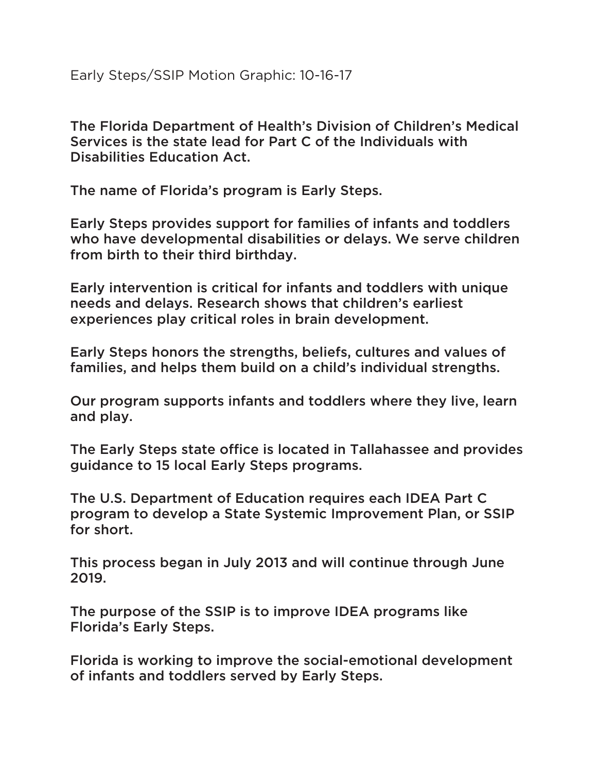Early Steps/SSIP Motion Graphic: 10-16-17

The Florida Department of Health's Division of Children's Medical Services is the state lead for Part C of the Individuals with Disabilities Education Act.

The name of Florida's program is Early Steps.

Early Steps provides support for families of infants and toddlers who have developmental disabilities or delays. We serve children from birth to their third birthday.

Early intervention is critical for infants and toddlers with unique needs and delays. Research shows that children's earliest experiences play critical roles in brain development.

Early Steps honors the strengths, beliefs, cultures and values of families, and helps them build on a child's individual strengths.

Our program supports infants and toddlers where they live, learn and play.

The Early Steps state office is located in Tallahassee and provides guidance to 15 local Early Steps programs.

The U.S. Department of Education requires each IDEA Part C program to develop a State Systemic Improvement Plan, or SSIP for short.

This process began in July 2013 and will continue through June 2019.

The purpose of the SSIP is to improve IDEA programs like Florida's Early Steps.

Florida is working to improve the social-emotional development of infants and toddlers served by Early Steps.